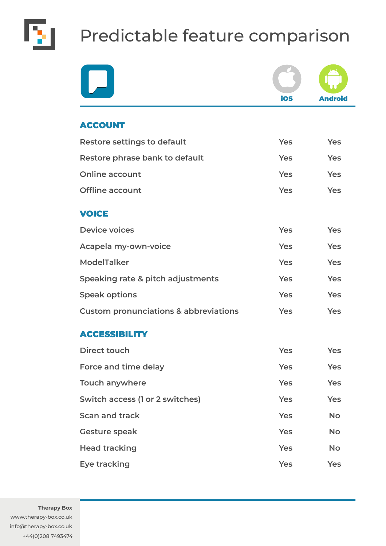

## Predictable feature comparison

|                                                  | ios        | <b>Android</b> |
|--------------------------------------------------|------------|----------------|
| <b>ACCOUNT</b>                                   |            |                |
| <b>Restore settings to default</b>               | Yes        | Yes            |
| Restore phrase bank to default                   | Yes        | Yes            |
| <b>Online account</b>                            | Yes        | Yes            |
| <b>Offline account</b>                           | <b>Yes</b> | Yes            |
| <b>VOICE</b>                                     |            |                |
| <b>Device voices</b>                             | <b>Yes</b> | Yes            |
| Acapela my-own-voice                             | Yes        | Yes            |
| <b>ModelTalker</b>                               | Yes        | Yes            |
| Speaking rate & pitch adjustments                | Yes        | Yes            |
| <b>Speak options</b>                             | <b>Yes</b> | Yes            |
| <b>Custom pronunciations &amp; abbreviations</b> | <b>Yes</b> | <b>Yes</b>     |
| <b>ACCESSIBILITY</b>                             |            |                |
| Direct touch                                     | <b>Yes</b> | <b>Yes</b>     |
| Force and time delay                             | <b>Yes</b> | <b>Yes</b>     |
| <b>Touch anywhere</b>                            | <b>Yes</b> | Yes            |
| Switch access (1 or 2 switches)                  | <b>Yes</b> | Yes            |
| <b>Scan and track</b>                            | <b>Yes</b> | <b>No</b>      |
| <b>Gesture speak</b>                             | <b>Yes</b> | <b>No</b>      |
| <b>Head tracking</b>                             | <b>Yes</b> | <b>No</b>      |
| <b>Eye tracking</b>                              | <b>Yes</b> | Yes            |

**Therapy Box**

www.therapy-box.co.uk info@therapy-box.co.uk +44(0)208 7493474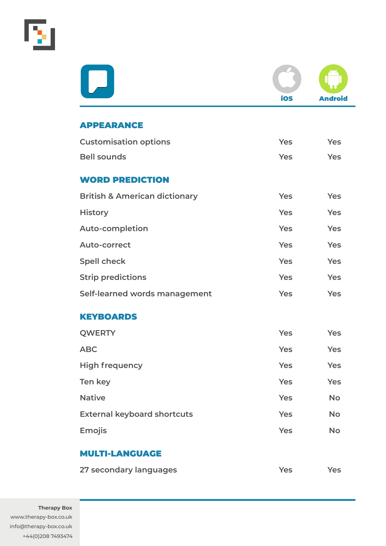

|                                          | ios        | <b>Android</b> |
|------------------------------------------|------------|----------------|
| <b>APPEARANCE</b>                        |            |                |
| <b>Customisation options</b>             | Yes        | Yes            |
| <b>Bell sounds</b>                       | Yes        | <b>Yes</b>     |
| <b>WORD PREDICTION</b>                   |            |                |
| <b>British &amp; American dictionary</b> | Yes        | Yes            |
| <b>History</b>                           | Yes        | Yes            |
| <b>Auto-completion</b>                   | Yes        | Yes            |
| <b>Auto-correct</b>                      | Yes        | Yes            |
| <b>Spell check</b>                       | Yes        | Yes            |
| <b>Strip predictions</b>                 | Yes        | Yes            |
| Self-learned words management            | Yes        | Yes            |
| <b>KEYBOARDS</b>                         |            |                |
| <b>QWERTY</b>                            | Yes        | Yes            |
| <b>ABC</b>                               | <b>Yes</b> | <b>Yes</b>     |
| <b>High frequency</b>                    | Yes        | <b>Yes</b>     |
| Ten key                                  | <b>Yes</b> | Yes            |
| <b>Native</b>                            | <b>Yes</b> | <b>No</b>      |
| <b>External keyboard shortcuts</b>       | <b>Yes</b> | <b>No</b>      |
| <b>Emojis</b>                            | Yes        | <b>No</b>      |
| <b>MULTI-LANGUAGE</b>                    |            |                |
| 27 secondary languages                   | <b>Yes</b> | <b>Yes</b>     |

**Therapy Box** www.therapy-box.co.uk info@therapy-box.co.uk +44(0)208 7493474